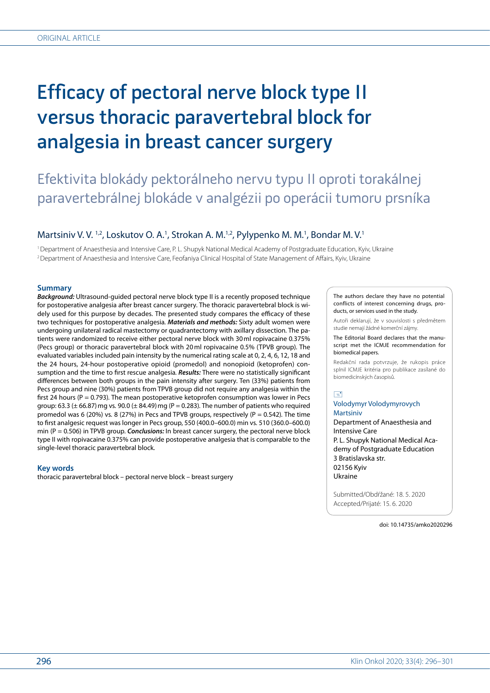# Efficacy of pectoral nerve block type II versus thoracic paravertebral block for analgesia in breast cancer surgery

## Efektivita blokády pektorálneho nervu typu II oproti torakálnej paravertebrálnej blokáde v analgézii po operácii tumoru prsníka

### Martsiniv V. V.<sup>1,2</sup>, Loskutov O. A.<sup>1</sup>, Strokan A. M.<sup>1,2</sup>, Pylypenko M. M.<sup>1</sup>, Bondar M. V.<sup>1</sup>

1Department of Anaesthesia and Intensive Care, P. L. Shupyk National Medical Academy of Postgraduate Education, Kyiv, Ukraine 2Department of Anaesthesia and Intensive Care, Feofaniya Clinical Hospital of State Management of Affairs, Kyiv, Ukraine

#### **Summary**

*Background:* Ultrasound-guided pectoral nerve block type II is a recently proposed technique for postoperative analgesia after breast cancer surgery*.* The thoracic paravertebral block is widely used for this purpose by decades*.* The presented study compares the efficacy of these two techniques for postoperative analgesia*. Materials and methods:* Sixty adult women were undergoing unilateral radical mastectomy or quadrantectomy with axillary dissection*.* The patients were randomized to receive either pectoral nerve block with 30ml ropivacaine 0*.*375% (Pecs group) or thoracic paravertebral block with 20ml ropivacaine 0*.*5% (TPVB group)*.* The evaluated variables included pain intensity by the numerical rating scale at 0, 2, 4, 6, 12, 18 and the 24 hours, 24-hour postoperative opioid (promedol) and nonopioid (ketoprofen) consumption and the time to first rescue analgesia*. Results:* There were no statistically significant differences between both groups in the pain intensity after surgery*.* Ten (33%) patients from Pecs group and nine (30%) patients from TPVB group did not require any analgesia within the first 24 hours (P = 0*.*793)*.* The mean postoperative ketoprofen consumption was lower in Pecs group: 63*.*3 (± 66*.*87)mg vs*.* 90*.*0 (± 84*.*49)mg (Р = 0*.*283)*.* The number of patients who required promedol was 6 (20%) vs*.* 8 (27%) in Pecs and TPVB groups, respectively (Р = 0*.*542)*.* The time to first analgesic request was longer in Pecs group, 550 (400*.*0–600*.*0) min vs*.* 510 (360*.*0–600*.*0) min (Р = 0*.*506) in TPVB group*. Conclusions:* In breast cancer surgery, the pectoral nerve block type II with ropivacaine 0*.*375% can provide postoperative analgesia that is comparable to the single-level thoracic paravertebral block*.*

#### **Key words**

thoracic paravertebral block – pectoral nerve block – breast surgery

The authors declare they have no potential conflicts of interest concerning drugs, products, or services used in the study.

Autoři deklarují, že v souvislosti s předmětem studie nemají žádné komerční zájmy.

The Editorial Board declares that the manuscript met the ICMJE recommendation for biomedical papers.

Redakční rada potvrzuje, že rukopis práce splnil ICMJE kritéria pro publikace zasílané do biomedicínských časopisů.

 $\boxed{=}$ 

#### Volodymyr Volodymyrovych Martsiniv

Department of Anaesthesia and Intensive Care P. L. Shupyk National Medical Academy of Postgraduate Education 3 Bratislavska str. 02156 Kyiv Ukraine

Submitted/Obdŕžané: 18. 5. 2020 Accepted/Prijaté: 15. 6. 2020

doi: 10.14735/amko2020296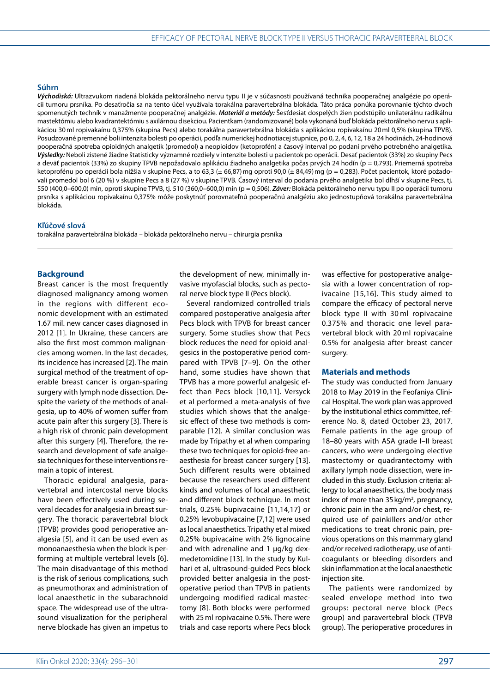#### **Súhrn**

*Východiská:* Ultrazvukom riadená blokáda pektorálneho nervu typu II je v súčasnosti používaná technika pooperačnej analgézie po operácii tumoru prsníka*.* Po desaťročia sa na tento účel využívala torakálna paravertebrálna blokáda*.* Táto práca ponúka porovnanie týchto dvoch spomenutých techník v manažmente pooperačnej analgézie*. Materiál a metódy:* Šesťdesiat dospelých žien podstúpilo unilaterálnu radikálnu mastektómiu alebo kvadrantektómiu s axilárnou disekciou*.* Pacientkam (randomizované) bola vykonaná buď blokáda pektorálneho nervu s aplikáciou 30ml ropivakaínu 0,375% (skupina Pecs) alebo torakálna paravertebrálna blokáda s aplikáciou ropivakaínu 20ml 0,5% (skupina TPVB)*.* Posudzované premenné boli intenzita bolesti po operácii, podľa numerickej hodnotiacej stupnice, po 0, 2, 4, 6, 12, 18 a 24 hodinách, 24-hodinová pooperačná spotreba opioidných analgetík (promedol) a neopioidov (ketoprofén) a časový interval po podaní prvého potrebného analgetika*. Výsledky:* Neboli zistené žiadne štatisticky významné rozdiely v intenzite bolesti u pacientok po operácii*.* Desať pacientok (33%) zo skupiny Pecs a deväť pacientok (33%) zo skupiny TPVB nepožadovalo aplikáciu žiadneho analgetika počas prvých 24 hodín (p = 0,793)*.* Priemerná spotreba ketoprofénu po operácii bola nižšia v skupine Pecs, a to 63,3 (± 66,87) mg oproti 90,0 (± 84,49) mg (p = 0,283). Počet pacientok, ktoré požadovali promedol bol 6 (20 %) v skupine Pecs a 8 (27 %) v skupine TPVB*.* Časový interval do podania prvého analgetika bol dlhší v skupine Pecs, tj*.* 550 (400,0–600,0) min, oproti skupine TPVB, tj*.* 510 (360,0–600,0) min (p = 0,506)*. Záver:* Blokáda pektorálneho nervu typu II po operácii tumoru prsníka s aplikáciou ropivakaínu 0,375% môže poskytnúť porovnateľnú pooperačnú analgéziu ako jednostupňová torakálna paravertebrálna blokáda*.*

#### **Kľúčové slová**

torakálna paravertebrálna blokáda – blokáda pektorálneho nervu – chirurgia prsníka

#### **Background**

Breast cancer is the most frequently diagnosed malignancy among women in the regions with different economic development with an estimated 1.67 mil. new cancer cases diagnosed in 2012 [1]. In Ukraine, these cancers are also the first most common malignancies among women. In the last decades, its incidence has increased [2]. The main surgical method of the treatment of operable breast cancer is organ-sparing surgery with lymph node dissection. Despite the variety of the methods of analgesia, up to 40% of women suffer from acute pain after this surgery [3]. There is a high risk of chronic pain development after this surgery [4]. Therefore, the research and development of safe analgesia techniques for these interventions remain a topic of interest.

Thoracic epidural analgesia, paravertebral and intercostal nerve blocks have been effectively used during several decades for analgesia in breast surgery. The thoracic paravertebral block (TPVB) provides good perioperative analgesia [5], and it can be used even as monoanaesthesia when the block is performing at multiple vertebral levels [6]. The main disadvantage of this method is the risk of serious complications, such as pneumothorax and administration of local anaesthetic in the subarachnoid space. The widespread use of the ultrasound visualization for the peripheral nerve blockade has given an impetus to

the development of new, minimally invasive myofascial blocks, such as pectoral nerve block type II (Pecs block).

Several randomized controlled trials compared postoperative analgesia after Pecs block with TPVB for breast cancer surgery. Some studies show that Pecs block reduces the need for opioid analgesics in the postoperative period compared with TPVB [7–9]. On the other hand, some studies have shown that TPVB has a more powerful analgesic effect than Pecs block [10,11]. Versyck et al performed a meta-analysis of five studies which shows that the analgesic effect of these two methods is comparable [12]. A similar conclusion was made by Tripathy et al when comparing these two techniques for opioid-free anaesthesia for breast cancer surgery [13]. Such different results were obtained because the researchers used different kinds and volumes of local anaesthetic and different block technique. In most trials, 0.25% bupivacaine [11,14,17] or 0.25% levobupivacaine [7,12] were used as local anaesthetics. Tripathy et al mixed 0.25% bupivacaine with 2% lignocaine and with adrenaline and 1 μg/kg dexmedetomidine [13]. In the study by Kulhari et al, ultrasound-guided Pecs block provided better analgesia in the postoperative period than TPVB in patients undergoing modified radical mastectomy [8]. Both blocks were performed with 25ml ropivacaine 0.5%. There were trials and case reports where Pecs block

was effective for postoperative analgesia with a lower concentration of ropivacaine [15,16]. This study aimed to compare the efficacy of pectoral nerve block type II with 30 ml ropivacaine 0.375% and thoracic one level paravertebral block with 20 ml ropivacaine 0.5% for analgesia after breast cancer surgery.

#### **Materials and methods**

The study was conducted from January 2018 to May 2019 in the Feofaniya Clinical Hospital. The work plan was approved by the institutional ethics committee, reference No. 8, dated October 23, 2017. Female patients in the age group of 18–80 years with ASA grade I–II breast cancers, who were undergoing elective mastectomy or quadrantectomy with axillary lymph node dissection, were included in this study. Exclusion criteria: allergy to local anaesthetics, the body mass index of more than  $35 \text{ kg/m}^2$ , pregnancy, chronic pain in the arm and/or chest, required use of painkillers and/or other medications to treat chronic pain, previous operations on this mammary gland and/or received radiotherapy, use of anticoagulants or bleeding disorders and skin inflammation at the local anaesthetic injection site.

The patients were randomized by sealed envelope method into two groups: pectoral nerve block (Pecs group) and paravertebral block (TPVB group). The perioperative procedures in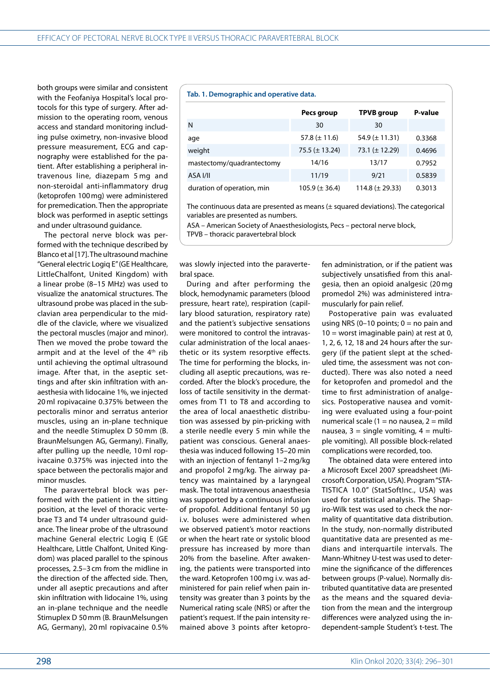both groups were similar and consistent with the Feofaniya Hospital's local protocols for this type of surgery. After admission to the operating room, venous access and standard monitoring including pulse oximetry, non-invasive blood pressure measurement, ECG and capnography were established for the patient. After establishing a peripheral intravenous line, diazepam 5 mg and non-steroidal anti-inflammatory drug (ketoprofen 100mg) were administered for premedication. Then the appropriate block was performed in aseptic settings and under ultrasound guidance.

The pectoral nerve block was performed with the technique described by Blanco et al [17]. The ultrasound machine "General electric Logiq E" (GE Healthcare, LittleChalfont, United Kingdom) with a linear probe (8–15 MHz) was used to visualize the anatomical structures. The ultrasound probe was placed in the subclavian area perpendicular to the middle of the clavicle, where we visualized the pectoral muscles (major and minor). Then we moved the probe toward the armpit and at the level of the  $4<sup>th</sup>$  rib until achieving the optimal ultrasound image. After that, in the aseptic settings and after skin infiltration with anaesthesia with lidocaine 1%, we injected 20 ml ropivacaine 0.375% between the pectoralis minor and serratus anterior muscles, using an in-plane technique and the needle Stimuplex D 50 mm (B. BraunMelsungen AG, Germany). Finally, after pulling up the needle, 10 ml ropivacaine 0.375% was injected into the space between the pectoralis major and minor muscles.

The paravertebral block was performed with the patient in the sitting position, at the level of thoracic vertebrae T3 and T4 under ultrasound guidance. The linear probe of the ultrasound machine General electric Logiq E (GE Healthcare, Little Chalfont, United Kingdom) was placed parallel to the spinous processes, 2.5–3 cm from the midline in the direction of the affected side. Then, under all aseptic precautions and after skin infiltration with lidocaine 1%, using an in-plane technique and the needle Stimuplex D 50mm (B. BraunMelsungen AG, Germany), 20 ml ropivacaine 0.5%

#### **Tab. 1. Demographic and operative data.**

|                            | Pecs group          | <b>TPVB</b> group    | P-value |
|----------------------------|---------------------|----------------------|---------|
| N                          | 30                  | 30                   |         |
| age                        | 57.8 $(\pm 11.6)$   | 54.9 $(\pm 11.31)$   | 0.3368  |
| weight                     | 75.5 ( $\pm$ 13.24) | 73.1 ( $\pm$ 12.29)  | 0.4696  |
| mastectomy/quadrantectomy  | 14/16               | 13/17                | 0.7952  |
| ASA I/II                   | 11/19               | 9/21                 | 0.5839  |
| duration of operation, min | $105.9 (\pm 36.4)$  | 114.8 ( $\pm$ 29.33) | 0.3013  |

The continuous data are presented as means  $(\pm$  squared deviations). The categorical variables are presented as numbers.

ASA – American Society of Anaesthesiologists, Pecs – pectoral nerve block,

TPVB – thoracic paravertebral block

was slowly injected into the paravertebral space.

During and after performing the block, hemodynamic parameters (blood pressure, heart rate), respiration (capillary blood saturation, respiratory rate) and the patient's subjective sensations were monitored to control the intravascular administration of the local anaesthetic or its system resorptive effects. The time for performing the blocks, including all aseptic precautions, was recorded. After the block's procedure, the loss of tactile sensitivity in the dermatomes from T1 to T8 and according to the area of local anaesthetic distribution was assessed by pin-pricking with a sterile needle every 5 min while the patient was conscious. General anaesthesia was induced following 15–20 min with an injection of fentanyl 1–2 mg/kg and propofol 2 mg/kg. The airway patency was maintained by a laryngeal mask. The total intravenous anaesthesia was supported by a continuous infusion of propofol. Additional fentanyl 50 µg i.v. boluses were administered when we observed patient's motor reactions or when the heart rate or systolic blood pressure has increased by more than 20% from the baseline. After awakening, the patients were transported into the ward. Ketoprofen 100mg i.v. was administered for pain relief when pain intensity was greater than 3 points by the Numerical rating scale (NRS) or after the patient's request. If the pain intensity remained above 3 points after ketoprofen administration, or if the patient was subjectively unsatisfied from this analgesia, then an opioid analgesic (20 mg promedol 2%) was administered intramuscularly for pain relief.

Postoperative pain was evaluated using NRS (0-10 points;  $0 = no$  pain and  $10 =$  worst imaginable pain) at rest at 0, 1, 2, 6, 12, 18 and 24 hours after the surgery (if the patient slept at the scheduled time, the assessment was not conducted). There was also noted a need for ketoprofen and promedol and the time to first administration of analgesics. Postoperative nausea and vomiting were evaluated using a four-point numerical scale (1 = no nausea, 2 = mild nausea,  $3 =$  single vomiting,  $4 =$  multiple vomiting). All possible block-related complications were recorded, too.

The obtained data were entered into a Microsoft Excel 2007 spreadsheet (Microsoft Corporation, USA). Program "STA-TISTICA 10.0" (StatSoftInc., USA) was used for statistical analysis. The Shapiro-Wilk test was used to check the normality of quantitative data distribution. In the study, non-normally distributed quantitative data are presented as medians and interquartile intervals. The Mann-Whitney U-test was used to determine the significance of the differences between groups (P-value). Normally distributed quantitative data are presented as the means and the squared deviation from the mean and the intergroup differences were analyzed using the independent-sample Student's t-test. The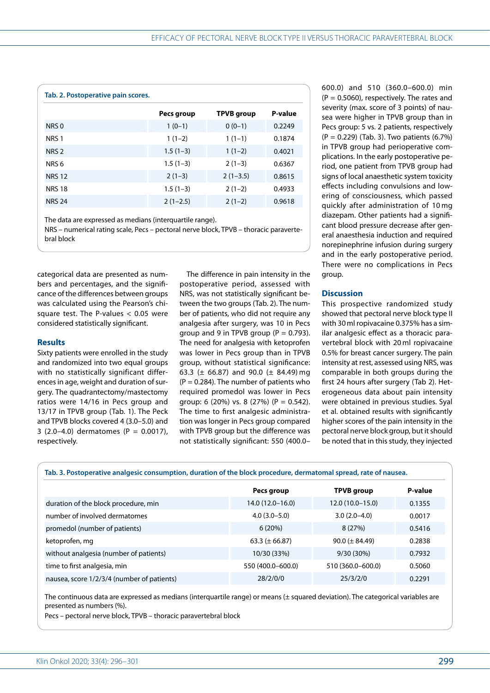| Tab. 2. Postoperative pain scores. |            |                   |         |
|------------------------------------|------------|-------------------|---------|
|                                    | Pecs group | <b>TPVB</b> group | P-value |
| NRS 0                              | $1(0-1)$   | $0(0-1)$          | 0.2249  |
| NRS <sub>1</sub>                   | $1(1-2)$   | $1(1-1)$          | 0.1874  |
| NRS <sub>2</sub>                   | $1.5(1-3)$ | $1(1-2)$          | 0.4021  |
| NRS <sub>6</sub>                   | $1.5(1-3)$ | $2(1-3)$          | 0.6367  |
| <b>NRS 12</b>                      | $2(1-3)$   | $2(1-3.5)$        | 0.8615  |
| <b>NRS 18</b>                      | $1.5(1-3)$ | $2(1-2)$          | 0.4933  |
| <b>NRS 24</b>                      | $2(1-2.5)$ | $2(1-2)$          | 0.9618  |
|                                    |            |                   |         |

The data are expressed as medians (interquartile range).

NRS – numerical rating scale, Pecs – pectoral nerve block, TPVB – thoracic paravertebral block

categorical data are presented as numbers and percentages, and the significance of the differences between groups was calculated using the Pearson's chisquare test. The P-values  $< 0.05$  were considered statistically significant.

#### **Results**

Sixty patients were enrolled in the study and randomized into two equal groups with no statistically significant differences in age, weight and duration of surgery. The quadrantectomy/mastectomy ratios were 14/16 in Pecs group and 13/17 in TPVB group (Tab. 1). The Peck and TPVB blocks covered 4 (3.0–5.0) and 3  $(2.0-4.0)$  dermatomes  $(P = 0.0017)$ , respectively.

The difference in pain intensity in the postoperative period, assessed with NRS, was not statistically significant between the two groups (Tab. 2). The number of patients, who did not require any analgesia after surgery, was 10 in Pecs group and 9 in TPVB group ( $P = 0.793$ ). The need for analgesia with ketoprofen was lower in Pecs group than in TPVB group, without statistical significance: 63.3 ( $\pm$  66.87) and 90.0 ( $\pm$  84.49) mg  $(P = 0.284)$ . The number of patients who required promedol was lower in Pecs group: 6  $(20\%)$  vs. 8  $(27\%)$   $(P = 0.542)$ . The time to first analgesic administration was longer in Pecs group compared with TPVB group but the difference was not statistically significant: 550 (400.0–

600.0) and 510 (360.0–600.0) min  $(P = 0.5060)$ , respectively. The rates and severity (max. score of 3 points) of nausea were higher in TPVB group than in Pecs group: 5 vs. 2 patients, respectively (P = 0.229) (Tab. 3). Two patients (6.7%) in TPVB group had perioperative complications. In the early postoperative period, one patient from TPVB group had signs of local anaesthetic system toxicity effects including convulsions and lowering of consciousness, which passed quickly after administration of 10 mg diazepam. Other patients had a significant blood pressure decrease after general anaesthesia induction and required norepinephrine infusion during surgery and in the early postoperative period. There were no complications in Pecs group.

#### **Discussion**

This prospective randomized study showed that pectoral nerve block type II with 30ml ropivacaine 0.375% has a similar analgesic effect as a thoracic paravertebral block with 20 ml ropivacaine 0.5% for breast cancer surgery. The pain intensity at rest, assessed using NRS, was comparable in both groups during the first 24 hours after surgery (Tab 2). Heterogeneous data about pain intensity were obtained in previous studies. Syal et al. obtained results with significantly higher scores of the pain intensity in the pectoral nerve block group, but it should be noted that in this study, they injected

|  |  | Tab. 3. Postoperative analgesic consumption, duration of the block procedure, dermatomal spread, rate of nausea. |
|--|--|------------------------------------------------------------------------------------------------------------------|
|  |  |                                                                                                                  |

|                                            | Pecs group         | <b>TPVB</b> group  | P-value |
|--------------------------------------------|--------------------|--------------------|---------|
| duration of the block procedure, min       | 14.0 (12.0–16.0)   | $12.0(10.0-15.0)$  | 0.1355  |
| number of involved dermatomes              | $4.0(3.0 - 5.0)$   | $3.0(2.0-4.0)$     | 0.0017  |
| promedol (number of patients)              | 6(20%)             | 8(27%)             | 0.5416  |
| ketoprofen, mg                             | $63.3 (\pm 66.87)$ | $90.0 (\pm 84.49)$ | 0.2838  |
| without analgesia (number of patients)     | 10/30 (33%)        | $9/30(30\%)$       | 0.7932  |
| time to first analgesia, min               | 550 (400.0-600.0)  | 510 (360.0-600.0)  | 0.5060  |
| nausea, score 1/2/3/4 (number of patients) | 28/2/0/0           | 25/3/2/0           | 0.2291  |

The continuous data are expressed as medians (interquartile range) or means (± squared deviation). The categorical variables are presented as numbers (%).

Pecs – pectoral nerve block, TPVB – thoracic paravertebral block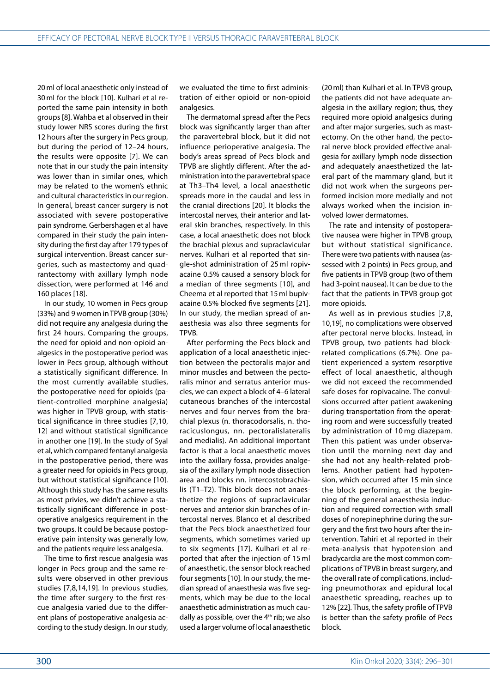20ml of local anaesthetic only instead of 30ml for the block [10]. Kulhari et al reported the same pain intensity in both groups [8]. Wahba et al observed in their study lower NRS scores during the first 12 hours after the surgery in Pecs group, but during the period of 12–24 hours, the results were opposite [7]. We can note that in our study the pain intensity was lower than in similar ones, which may be related to the women's ethnic and cultural characteristics in our region. In general, breast cancer surgery is not associated with severe postoperative pain syndrome. Gerbershagen et al have compared in their study the pain intensity during the first day after 179 types of surgical intervention. Breast cancer surgeries, such as mastectomy and quadrantectomy with axillary lymph node dissection, were performed at 146 and 160 places [18].

In our study, 10 women in Pecs group (33%) and 9 women in TPVB group (30%) did not require any analgesia during the first 24 hours. Comparing the groups, the need for opioid and non-opioid analgesics in the postoperative period was lower in Pecs group, although without a statistically significant difference. In the most currently available studies, the postoperative need for opioids (patient-controlled morphine analgesia) was higher in TPVB group, with statistical significance in three studies [7,10, 12] and without statistical significance in another one [19]. In the study of Syal et al, which compared fentanyl analgesia in the postoperative period, there was a greater need for opioids in Pecs group, but without statistical significance [10]. Although this study has the same results as most privies, we didn't achieve a statistically significant difference in postoperative analgesics requirement in the two groups. It could be because postoperative pain intensity was generally low, and the patients require less analgesia.

The time to first rescue analgesia was longer in Pecs group and the same results were observed in other previous studies [7,8,14,19]. In previous studies, the time after surgery to the first rescue analgesia varied due to the different plans of postoperative analgesia according to the study design. In our study,

we evaluated the time to first administration of either opioid or non-opioid analgesics.

The dermatomal spread after the Pecs block was significantly larger than after the paravertebral block, but it did not influence perioperative analgesia. The body's areas spread of Pecs block and TPVB are slightly different. After the administration into the paravertebral space at Th3–Th4 level, a local anaesthetic spreads more in the caudal and less in the cranial directions [20]. It blocks the intercostal nerves, their anterior and lateral skin branches, respectively. In this case, a local anaesthetic does not block the brachial plexus and supraclavicular nerves. Kulhari et al reported that single-shot administration of 25 ml ropivacaine 0.5% caused a sensory block for a median of three segments [10], and Cheema et al reported that 15ml bupivacaine 0.5% blocked five segments [21]. In our study, the median spread of anaesthesia was also three segments for TPVB.

After performing the Pecs block and application of a local anaesthetic injection between the pectoralis major and minor muscles and between the pectoralis minor and serratus anterior muscles, we can expect a block of 4–6 lateral cutaneous branches of the intercostal nerves and four nerves from the brachial plexus (n. thoracodorsalis, n. thoracicuslongus, nn. pectoralislateralis and medialis). An additional important factor is that a local anaesthetic moves into the axillary fossa, provides analgesia of the axillary lymph node dissection area and blocks nn. intercostobrachialis (T1–T2). This block does not anaesthetize the regions of supraclavicular nerves and anterior skin branches of intercostal nerves. Blanco et al described that the Pecs block anaesthetized four segments, which sometimes varied up to six segments [17]. Kulhari et al reported that after the injection of 15 ml of anaesthetic, the sensor block reached four segments [10]. In our study, the median spread of anaesthesia was five segments, which may be due to the local anaesthetic administration as much caudally as possible, over the 4th rib; we also used a larger volume of local anaesthetic

(20ml) than Kulhari et al. In TPVB group, the patients did not have adequate analgesia in the axillary region; thus, they required more opioid analgesics during and after major surgeries, such as mastectomy. On the other hand, the pectoral nerve block provided effective analgesia for axillary lymph node dissection and adequately anaesthetized the lateral part of the mammary gland, but it did not work when the surgeons performed incision more medially and not always worked when the incision involved lower dermatomes.

The rate and intensity of postoperative nausea were higher in TPVB group, but without statistical significance. There were two patients with nausea (assessed with 2 points) in Pecs group, and five patients in TPVB group (two of them had 3-point nausea). It can be due to the fact that the patients in TPVB group got more opioids.

As well as in previous studies [7,8, 10,19], no complications were observed after pectoral nerve blocks. Instead, in TPVB group, two patients had blockrelated complications (6.7%). One patient experienced a system resorptive effect of local anaesthetic, although we did not exceed the recommended safe doses for ropivacaine. The convulsions occurred after patient awakening during transportation from the operating room and were successfully treated by administration of 10 mg diazepam. Then this patient was under observation until the morning next day and she had not any health-related problems. Another patient had hypotension, which occurred after 15 min since the block performing, at the beginning of the general anaesthesia induction and required correction with small doses of norepinephrine during the surgery and the first two hours after the intervention. Tahiri et al reported in their meta-analysis that hypotension and bradycardia are the most common complications of TPVB in breast surgery, and the overall rate of complications, including pneumothorax and epidural local anaesthetic spreading, reaches up to 12% [22]. Thus, the safety profile of TPVB is better than the safety profile of Pecs block.